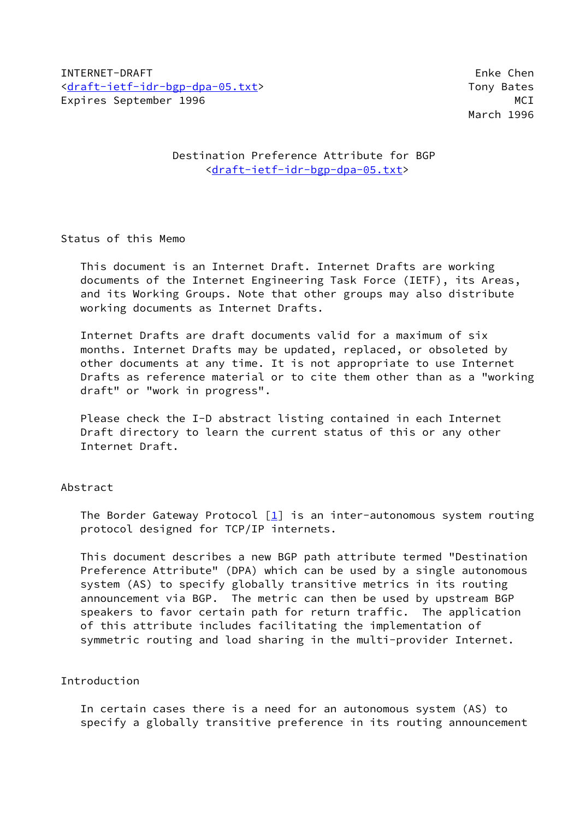INTERNET-DRAFT Enke Chen [<draft-ietf-idr-bgp-dpa-05.txt>](https://datatracker.ietf.org/doc/pdf/draft-ietf-idr-bgp-dpa-05.txt) Tony Bates Expires September 1996 MCI North September 1996 MCI North September 2016

March 1996

## Destination Preference Attribute for BGP <[draft-ietf-idr-bgp-dpa-05.txt>](https://datatracker.ietf.org/doc/pdf/draft-ietf-idr-bgp-dpa-05.txt)

### Status of this Memo

 This document is an Internet Draft. Internet Drafts are working documents of the Internet Engineering Task Force (IETF), its Areas, and its Working Groups. Note that other groups may also distribute working documents as Internet Drafts.

 Internet Drafts are draft documents valid for a maximum of six months. Internet Drafts may be updated, replaced, or obsoleted by other documents at any time. It is not appropriate to use Internet Drafts as reference material or to cite them other than as a "working draft" or "work in progress".

 Please check the I-D abstract listing contained in each Internet Draft directory to learn the current status of this or any other Internet Draft.

# Abstract

The Border Gateway Protocol  $\begin{bmatrix} 1 \\ 1 \end{bmatrix}$  is an inter-autonomous system routing protocol designed for TCP/IP internets.

 This document describes a new BGP path attribute termed "Destination Preference Attribute" (DPA) which can be used by a single autonomous system (AS) to specify globally transitive metrics in its routing announcement via BGP. The metric can then be used by upstream BGP speakers to favor certain path for return traffic. The application of this attribute includes facilitating the implementation of symmetric routing and load sharing in the multi-provider Internet.

#### Introduction

 In certain cases there is a need for an autonomous system (AS) to specify a globally transitive preference in its routing announcement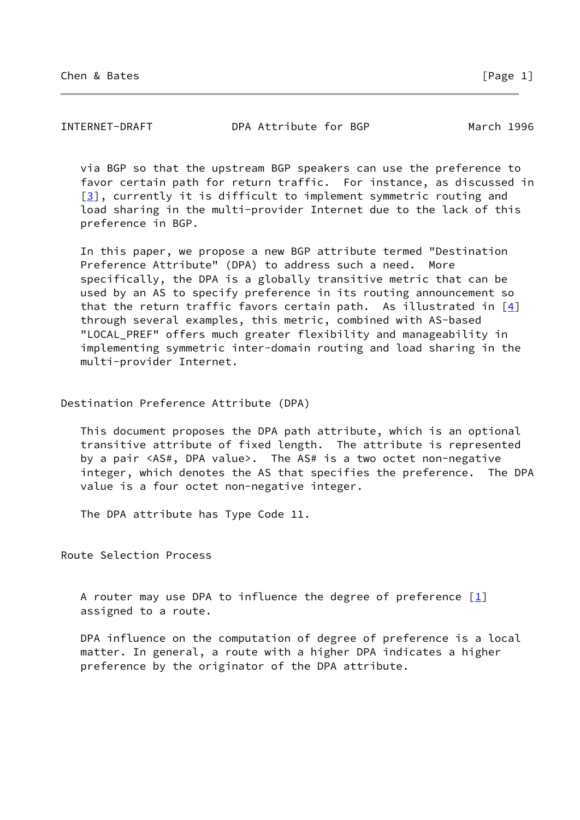INTERNET-DRAFT DPA Attribute for BGP March 1996

 via BGP so that the upstream BGP speakers can use the preference to favor certain path for return traffic. For instance, as discussed in [\[3](#page-3-1)], currently it is difficult to implement symmetric routing and load sharing in the multi-provider Internet due to the lack of this preference in BGP.

 In this paper, we propose a new BGP attribute termed "Destination Preference Attribute" (DPA) to address such a need. More specifically, the DPA is a globally transitive metric that can be used by an AS to specify preference in its routing announcement so that the return traffic favors certain path. As illustrated in  $[4]$  $[4]$  through several examples, this metric, combined with AS-based "LOCAL\_PREF" offers much greater flexibility and manageability in implementing symmetric inter-domain routing and load sharing in the multi-provider Internet.

Destination Preference Attribute (DPA)

 This document proposes the DPA path attribute, which is an optional transitive attribute of fixed length. The attribute is represented by a pair <AS#, DPA value>. The AS# is a two octet non-negative integer, which denotes the AS that specifies the preference. The DPA value is a four octet non-negative integer.

The DPA attribute has Type Code 11.

Route Selection Process

A router may use DPA to influence the degree of preference  $[1]$  $[1]$ assigned to a route.

 DPA influence on the computation of degree of preference is a local matter. In general, a route with a higher DPA indicates a higher preference by the originator of the DPA attribute.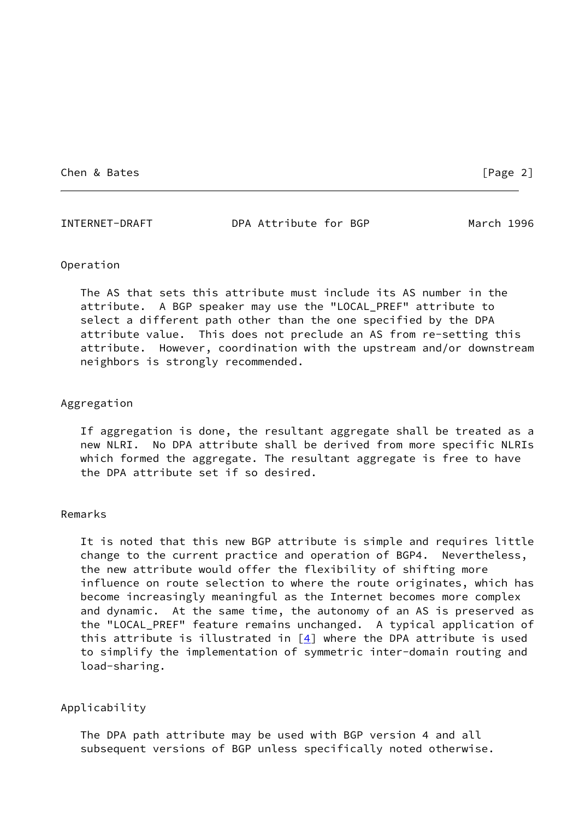Chen & Bates [Page 2]

INTERNET-DRAFT DPA Attribute for BGP March 1996

#### Operation

 The AS that sets this attribute must include its AS number in the attribute. A BGP speaker may use the "LOCAL\_PREF" attribute to select a different path other than the one specified by the DPA attribute value. This does not preclude an AS from re-setting this attribute. However, coordination with the upstream and/or downstream neighbors is strongly recommended.

#### Aggregation

 If aggregation is done, the resultant aggregate shall be treated as a new NLRI. No DPA attribute shall be derived from more specific NLRIs which formed the aggregate. The resultant aggregate is free to have the DPA attribute set if so desired.

#### Remarks

 It is noted that this new BGP attribute is simple and requires little change to the current practice and operation of BGP4. Nevertheless, the new attribute would offer the flexibility of shifting more influence on route selection to where the route originates, which has become increasingly meaningful as the Internet becomes more complex and dynamic. At the same time, the autonomy of an AS is preserved as the "LOCAL\_PREF" feature remains unchanged. A typical application of this attribute is illustrated in  $[4]$  where the DPA attribute is used to simplify the implementation of symmetric inter-domain routing and load-sharing.

#### Applicability

 The DPA path attribute may be used with BGP version 4 and all subsequent versions of BGP unless specifically noted otherwise.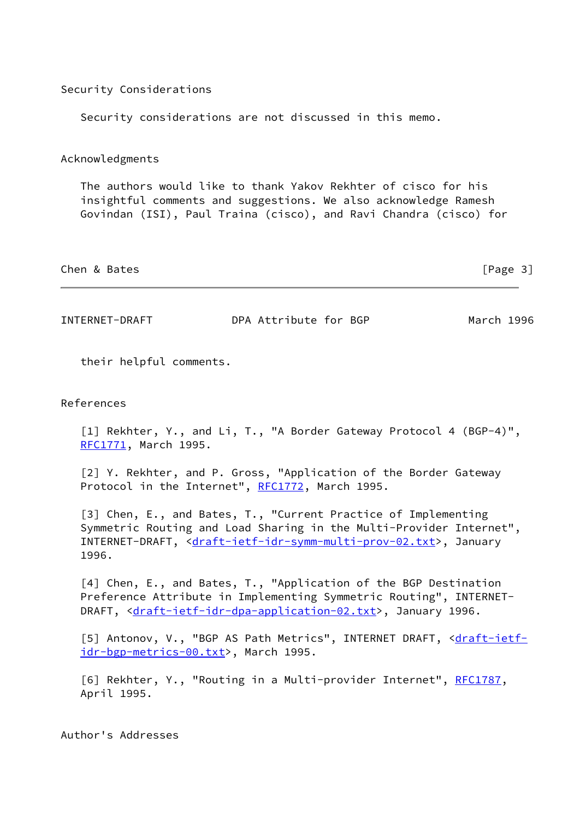|                 | Security considerations are not discussed in this memo. |  |                                                                                                                                                                                                        |  |
|-----------------|---------------------------------------------------------|--|--------------------------------------------------------------------------------------------------------------------------------------------------------------------------------------------------------|--|
| Acknowledgments |                                                         |  |                                                                                                                                                                                                        |  |
|                 |                                                         |  | The authors would like to thank Yakov Rekhter of cisco for his<br>insightful comments and suggestions. We also acknowledge Ramesh<br>Govindan (ISI), Paul Traina (cisco), and Ravi Chandra (cisco) for |  |

Security Considerations

INTERNET-DRAFT DPA Attribute for BGP March 1996

Chen & Bates [Page 3]

their helpful comments.

#### References

<span id="page-3-0"></span> [1] Rekhter, Y., and Li, T., "A Border Gateway Protocol 4 (BGP-4)", [RFC1771](https://datatracker.ietf.org/doc/pdf/rfc1771), March 1995.

 [2] Y. Rekhter, and P. Gross, "Application of the Border Gateway Protocol in the Internet", [RFC1772](https://datatracker.ietf.org/doc/pdf/rfc1772), March 1995.

<span id="page-3-1"></span> [3] Chen, E., and Bates, T., "Current Practice of Implementing Symmetric Routing and Load Sharing in the Multi-Provider Internet", INTERNET-DRAFT, [<draft-ietf-idr-symm-multi-prov-02.txt](https://datatracker.ietf.org/doc/pdf/draft-ietf-idr-symm-multi-prov-02.txt)>, January 1996.

<span id="page-3-2"></span> [4] Chen, E., and Bates, T., "Application of the BGP Destination Preference Attribute in Implementing Symmetric Routing", INTERNET- DRAFT, [<draft-ietf-idr-dpa-application-02.txt](https://datatracker.ietf.org/doc/pdf/draft-ietf-idr-dpa-application-02.txt)>, January 1996.

[5] Antonov, V., "BGP AS Path Metrics", INTERNET DRAFT, [<draft-ietf](https://datatracker.ietf.org/doc/pdf/draft-ietf-idr-bgp-metrics-00.txt) [idr-bgp-metrics-00.txt](https://datatracker.ietf.org/doc/pdf/draft-ietf-idr-bgp-metrics-00.txt)>, March 1995.

[6] Rekhter, Y., "Routing in a Multi-provider Internet", [RFC1787](https://datatracker.ietf.org/doc/pdf/rfc1787), April 1995.

Author's Addresses